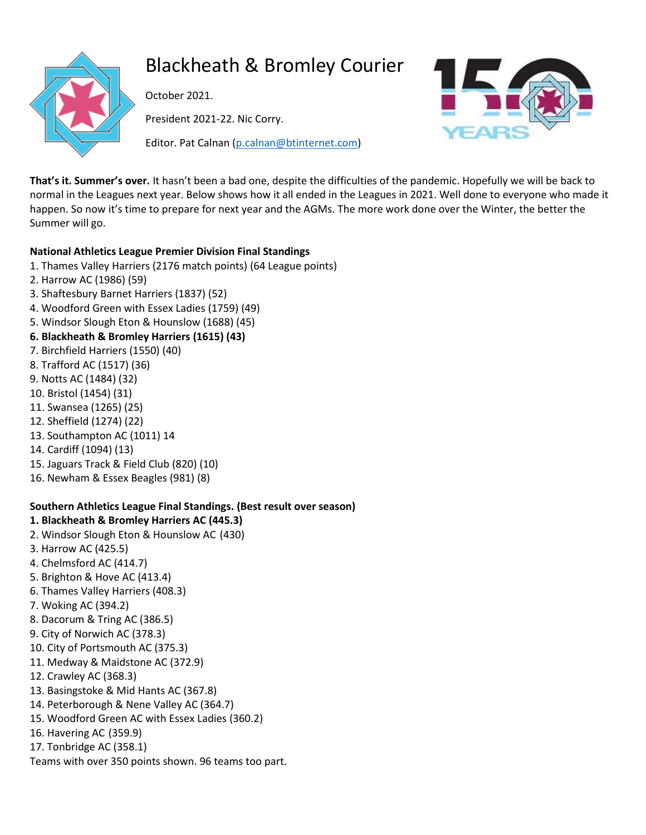

# Blackheath & Bromley Courier

October 2021.

President 2021-22. Nic Corry.

Editor. Pat Calnan [\(p.calnan@btinternet.com\)](mailto:p.calnan@btinternet.com)



**That's it. Summer's over.** It hasn't been a bad one, despite the difficulties of the pandemic. Hopefully we will be back to normal in the Leagues next year. Below shows how it all ended in the Leagues in 2021. Well done to everyone who made it happen. So now it's time to prepare for next year and the AGMs. The more work done over the Winter, the better the Summer will go.

# **National Athletics League Premier Division Final Standings**

- 1. Thames Valley Harriers (2176 match points) (64 League points)
- 2. Harrow AC (1986) (59)
- 3. Shaftesbury Barnet Harriers (1837) (52)
- 4. Woodford Green with Essex Ladies (1759) (49)
- 5. Windsor Slough Eton & Hounslow (1688) (45)

# **6. Blackheath & Bromley Harriers (1615) (43)**

- 7. Birchfield Harriers (1550) (40)
- 8. Trafford AC (1517) (36)
- 9. Notts AC (1484) (32)
- 10. Bristol (1454) (31)
- 11. Swansea (1265) (25)
- 12. Sheffield (1274) (22)
- 13. Southampton AC (1011) 14
- 14. Cardiff (1094) (13)
- 15. Jaguars Track & Field Club (820) (10)
- 16. Newham & Essex Beagles (981) (8)

# **Southern Athletics League Final Standings. (Best result over season)**

- **1. Blackheath & Bromley Harriers AC (445.3)**
- 2. Windsor Slough Eton & Hounslow AC (430)
- 3. Harrow AC (425.5)
- 4. Chelmsford AC (414.7)
- 5. Brighton & Hove AC (413.4)
- 6. Thames Valley Harriers (408.3)
- 7. Woking AC (394.2)
- 8. Dacorum & Tring AC (386.5)
- 9. City of Norwich AC (378.3)
- 10. City of Portsmouth AC (375.3)
- 11. Medway & Maidstone AC (372.9)
- 12. Crawley AC (368.3)
- 13. Basingstoke & Mid Hants AC (367.8)
- 14. Peterborough & Nene Valley AC (364.7)
- 15. Woodford Green AC with Essex Ladies (360.2)
- 16. Havering AC (359.9)
- 17. Tonbridge AC (358.1)
- Teams with over 350 points shown. 96 teams too part.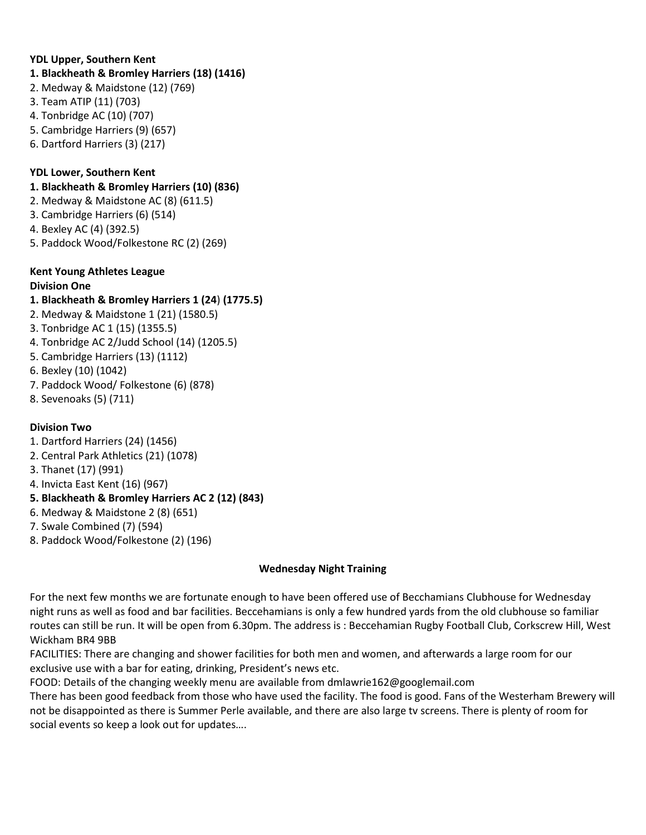#### **YDL Upper, Southern Kent**

- **1. Blackheath & Bromley Harriers (18) (1416)**
- 2. Medway & Maidstone (12) (769)
- 3. Team ATIP (11) (703)
- 4. Tonbridge AC (10) (707)
- 5. Cambridge Harriers (9) (657)
- 6. Dartford Harriers (3) (217)

# **YDL Lower, Southern Kent**

## **1. Blackheath & Bromley Harriers (10) (836)**

- 2. Medway & Maidstone AC (8) (611.5)
- 3. Cambridge Harriers (6) (514)
- 4. Bexley AC (4) (392.5)
- 5. Paddock Wood/Folkestone RC (2) (269)

# **Kent Young Athletes League**

## **Division One**

# **1. Blackheath & Bromley Harriers 1 (24**) **(1775.5)**

- 2. Medway & Maidstone 1 (21) (1580.5)
- 3. Tonbridge AC 1 (15) (1355.5)
- 4. Tonbridge AC 2/Judd School (14) (1205.5)
- 5. Cambridge Harriers (13) (1112)
- 6. Bexley (10) (1042)
- 7. Paddock Wood/ Folkestone (6) (878)
- 8. Sevenoaks (5) (711)

# **Division Two**

- 1. Dartford Harriers (24) (1456)
- 2. Central Park Athletics (21) (1078)
- 3. Thanet (17) (991)
- 4. Invicta East Kent (16) (967)
- **5. Blackheath & Bromley Harriers AC 2 (12) (843)**
- 6. Medway & Maidstone 2 (8) (651)
- 7. Swale Combined (7) (594)
- 8. Paddock Wood/Folkestone (2) (196)

# **Wednesday Night Training**

For the next few months we are fortunate enough to have been offered use of Becchamians Clubhouse for Wednesday night runs as well as food and bar facilities. Beccehamians is only a few hundred yards from the old clubhouse so familiar routes can still be run. It will be open from 6.30pm. The address is : Beccehamian Rugby Football Club, Corkscrew Hill, West Wickham BR4 9BB

FACILITIES: There are changing and shower facilities for both men and women, and afterwards a large room for our exclusive use with a bar for eating, drinking, President's news etc.

FOOD: Details of the changing weekly menu are available from dmlawrie162@googlemail.com

There has been good feedback from those who have used the facility. The food is good. Fans of the Westerham Brewery will not be disappointed as there is Summer Perle available, and there are also large tv screens. There is plenty of room for social events so keep a look out for updates….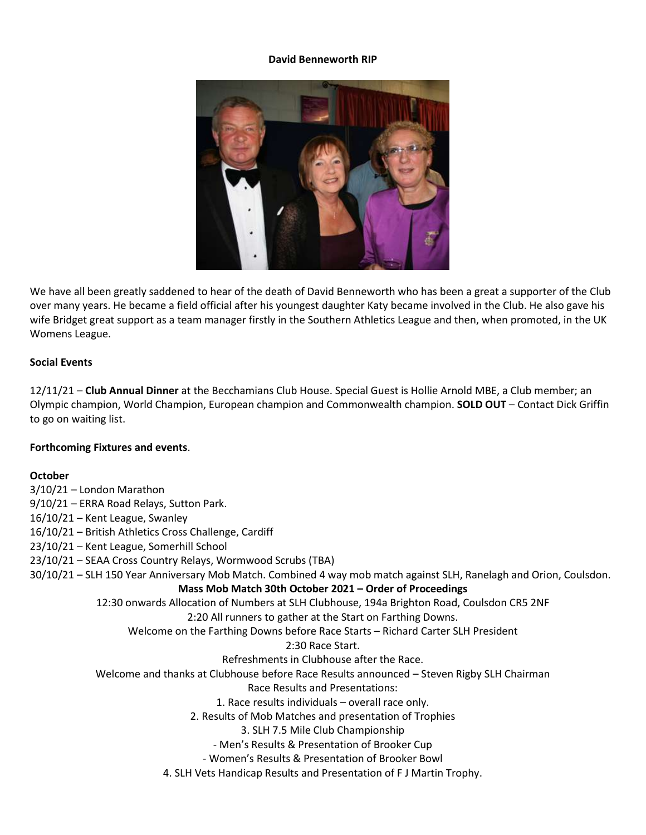#### **David Benneworth RIP**



We have all been greatly saddened to hear of the death of David Benneworth who has been a great a supporter of the Club over many years. He became a field official after his youngest daughter Katy became involved in the Club. He also gave his wife Bridget great support as a team manager firstly in the Southern Athletics League and then, when promoted, in the UK Womens League.

#### **Social Events**

12/11/21 – **Club Annual Dinner** at the Becchamians Club House. Special Guest is Hollie Arnold MBE, a Club member; an Olympic champion, World Champion, European champion and Commonwealth champion. **SOLD OUT** – Contact Dick Griffin to go on waiting list.

#### **Forthcoming Fixtures and events**.

# **October** 3/10/21 – London Marathon 9/10/21 – ERRA Road Relays, Sutton Park. 16/10/21 – Kent League, Swanley 16/10/21 – British Athletics Cross Challenge, Cardiff 23/10/21 – Kent League, Somerhill School 23/10/21 – SEAA Cross Country Relays, Wormwood Scrubs (TBA) 30/10/21 – SLH 150 Year Anniversary Mob Match. Combined 4 way mob match against SLH, Ranelagh and Orion, Coulsdon. **Mass Mob Match 30th October 2021 – Order of Proceedings** 12:30 onwards Allocation of Numbers at SLH Clubhouse, 194a Brighton Road, Coulsdon CR5 2NF 2:20 All runners to gather at the Start on Farthing Downs. Welcome on the Farthing Downs before Race Starts – Richard Carter SLH President 2:30 Race Start. Refreshments in Clubhouse after the Race. Welcome and thanks at Clubhouse before Race Results announced – Steven Rigby SLH Chairman Race Results and Presentations: 1. Race results individuals – overall race only. 2. Results of Mob Matches and presentation of Trophies 3. SLH 7.5 Mile Club Championship - Men's Results & Presentation of Brooker Cup - Women's Results & Presentation of Brooker Bowl 4. SLH Vets Handicap Results and Presentation of F J Martin Trophy.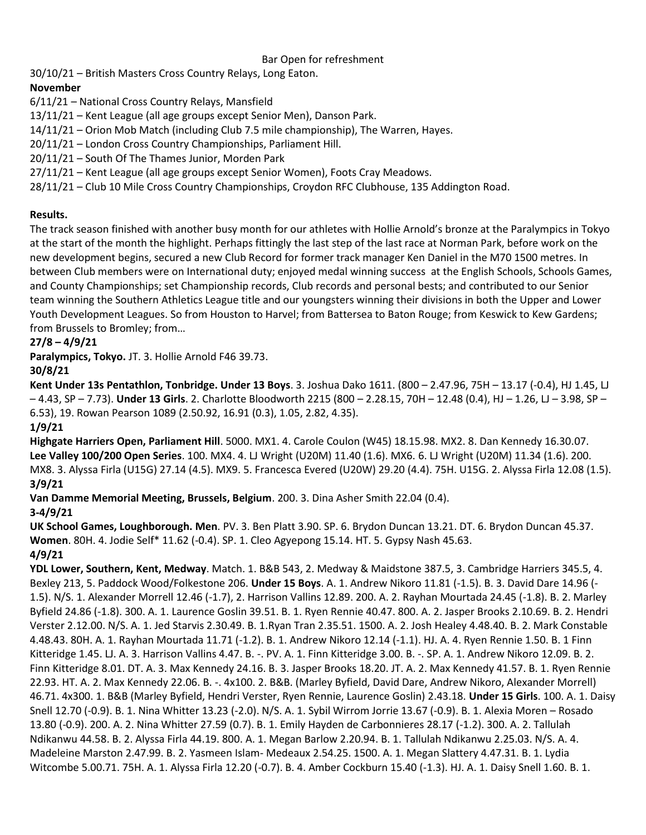## Bar Open for refreshment

30/10/21 – British Masters Cross Country Relays, Long Eaton.

# **November**

6/11/21 – National Cross Country Relays, Mansfield

13/11/21 – Kent League (all age groups except Senior Men), Danson Park.

14/11/21 – Orion Mob Match (including Club 7.5 mile championship), The Warren, Hayes.

20/11/21 – London Cross Country Championships, Parliament Hill.

20/11/21 – South Of The Thames Junior, Morden Park

27/11/21 – Kent League (all age groups except Senior Women), Foots Cray Meadows.

28/11/21 – Club 10 Mile Cross Country Championships, Croydon RFC Clubhouse, 135 Addington Road.

# **Results.**

The track season finished with another busy month for our athletes with Hollie Arnold's bronze at the Paralympics in Tokyo at the start of the month the highlight. Perhaps fittingly the last step of the last race at Norman Park, before work on the new development begins, secured a new Club Record for former track manager Ken Daniel in the M70 1500 metres. In between Club members were on International duty; enjoyed medal winning success at the English Schools, Schools Games, and County Championships; set Championship records, Club records and personal bests; and contributed to our Senior team winning the Southern Athletics League title and our youngsters winning their divisions in both the Upper and Lower Youth Development Leagues. So from Houston to Harvel; from Battersea to Baton Rouge; from Keswick to Kew Gardens; from Brussels to Bromley; from…

# **27/8 – 4/9/21**

Paralympics, Tokyo. JT. 3. Hollie Arnold F46 39.73.

# **30/8/21**

**Kent Under 13s Pentathlon, Tonbridge. Under 13 Boys**. 3. Joshua Dako 1611. (800 – 2.47.96, 75H – 13.17 (-0.4), HJ 1.45, LJ – 4.43, SP – 7.73). **Under 13 Girls**. 2. Charlotte Bloodworth 2215 (800 – 2.28.15, 70H – 12.48 (0.4), HJ – 1.26, LJ – 3.98, SP – 6.53), 19. Rowan Pearson 1089 (2.50.92, 16.91 (0.3), 1.05, 2.82, 4.35).

## **1/9/21**

**Highgate Harriers Open, Parliament Hill**. 5000. MX1. 4. Carole Coulon (W45) 18.15.98. MX2. 8. Dan Kennedy 16.30.07. **Lee Valley 100/200 Open Series**. 100. MX4. 4. LJ Wright (U20M) 11.40 (1.6). MX6. 6. LJ Wright (U20M) 11.34 (1.6). 200. MX8. 3. Alyssa Firla (U15G) 27.14 (4.5). MX9. 5. Francesca Evered (U20W) 29.20 (4.4). 75H. U15G. 2. Alyssa Firla 12.08 (1.5). **3/9/21**

**Van Damme Memorial Meeting, Brussels, Belgium**. 200. 3. Dina Asher Smith 22.04 (0.4).

## **3-4/9/21**

**UK School Games, Loughborough. Men**. PV. 3. Ben Platt 3.90. SP. 6. Brydon Duncan 13.21. DT. 6. Brydon Duncan 45.37. **Women**. 80H. 4. Jodie Self\* 11.62 (-0.4). SP. 1. Cleo Agyepong 15.14. HT. 5. Gypsy Nash 45.63. **4/9/21**

**YDL Lower, Southern, Kent, Medway**. Match. 1. B&B 543, 2. Medway & Maidstone 387.5, 3. Cambridge Harriers 345.5, 4. Bexley 213, 5. Paddock Wood/Folkestone 206. **Under 15 Boys**. A. 1. Andrew Nikoro 11.81 (-1.5). B. 3. David Dare 14.96 (- 1.5). N/S. 1. Alexander Morrell 12.46 (-1.7), 2. Harrison Vallins 12.89. 200. A. 2. Rayhan Mourtada 24.45 (-1.8). B. 2. Marley Byfield 24.86 (-1.8). 300. A. 1. Laurence Goslin 39.51. B. 1. Ryen Rennie 40.47. 800. A. 2. Jasper Brooks 2.10.69. B. 2. Hendri Verster 2.12.00. N/S. A. 1. Jed Starvis 2.30.49. B. 1.Ryan Tran 2.35.51. 1500. A. 2. Josh Healey 4.48.40. B. 2. Mark Constable 4.48.43. 80H. A. 1. Rayhan Mourtada 11.71 (-1.2). B. 1. Andrew Nikoro 12.14 (-1.1). HJ. A. 4. Ryen Rennie 1.50. B. 1 Finn Kitteridge 1.45. LJ. A. 3. Harrison Vallins 4.47. B. -. PV. A. 1. Finn Kitteridge 3.00. B. -. SP. A. 1. Andrew Nikoro 12.09. B. 2. Finn Kitteridge 8.01. DT. A. 3. Max Kennedy 24.16. B. 3. Jasper Brooks 18.20. JT. A. 2. Max Kennedy 41.57. B. 1. Ryen Rennie 22.93. HT. A. 2. Max Kennedy 22.06. B. -. 4x100. 2. B&B. (Marley Byfield, David Dare, Andrew Nikoro, Alexander Morrell) 46.71. 4x300. 1. B&B (Marley Byfield, Hendri Verster, Ryen Rennie, Laurence Goslin) 2.43.18. **Under 15 Girls**. 100. A. 1. Daisy Snell 12.70 (-0.9). B. 1. Nina Whitter 13.23 (-2.0). N/S. A. 1. Sybil Wirrom Jorrie 13.67 (-0.9). B. 1. Alexia Moren – Rosado 13.80 (-0.9). 200. A. 2. Nina Whitter 27.59 (0.7). B. 1. Emily Hayden de Carbonnieres 28.17 (-1.2). 300. A. 2. Tallulah Ndikanwu 44.58. B. 2. Alyssa Firla 44.19. 800. A. 1. Megan Barlow 2.20.94. B. 1. Tallulah Ndikanwu 2.25.03. N/S. A. 4. Madeleine Marston 2.47.99. B. 2. Yasmeen Islam- Medeaux 2.54.25. 1500. A. 1. Megan Slattery 4.47.31. B. 1. Lydia Witcombe 5.00.71. 75H. A. 1. Alyssa Firla 12.20 (-0.7). B. 4. Amber Cockburn 15.40 (-1.3). HJ. A. 1. Daisy Snell 1.60. B. 1.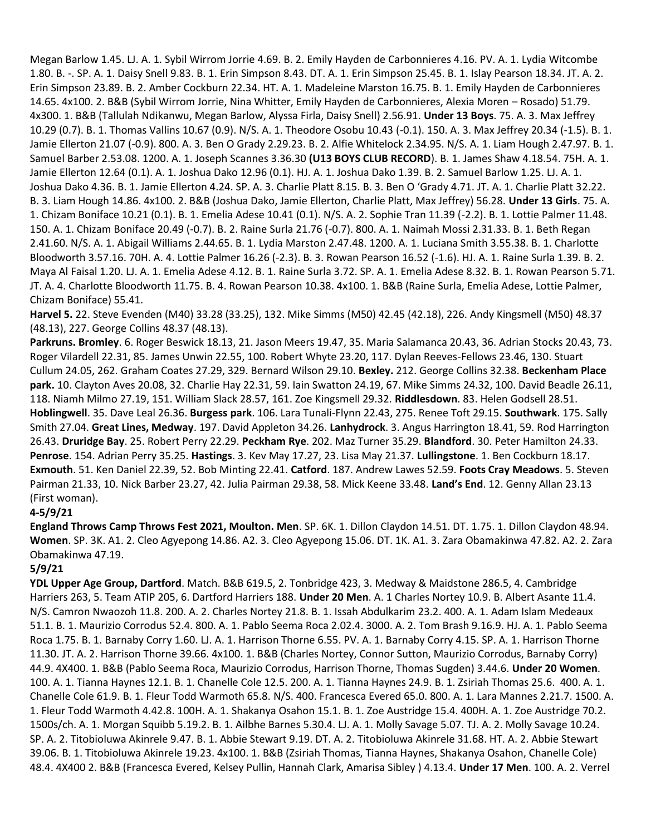Megan Barlow 1.45. LJ. A. 1. Sybil Wirrom Jorrie 4.69. B. 2. Emily Hayden de Carbonnieres 4.16. PV. A. 1. Lydia Witcombe 1.80. B. -. SP. A. 1. Daisy Snell 9.83. B. 1. Erin Simpson 8.43. DT. A. 1. Erin Simpson 25.45. B. 1. Islay Pearson 18.34. JT. A. 2. Erin Simpson 23.89. B. 2. Amber Cockburn 22.34. HT. A. 1. Madeleine Marston 16.75. B. 1. Emily Hayden de Carbonnieres 14.65. 4x100. 2. B&B (Sybil Wirrom Jorrie, Nina Whitter, Emily Hayden de Carbonnieres, Alexia Moren – Rosado) 51.79. 4x300. 1. B&B (Tallulah Ndikanwu, Megan Barlow, Alyssa Firla, Daisy Snell) 2.56.91. **Under 13 Boys**. 75. A. 3. Max Jeffrey 10.29 (0.7). B. 1. Thomas Vallins 10.67 (0.9). N/S. A. 1. Theodore Osobu 10.43 (-0.1). 150. A. 3. Max Jeffrey 20.34 (-1.5). B. 1. Jamie Ellerton 21.07 (-0.9). 800. A. 3. Ben O Grady 2.29.23. B. 2. Alfie Whitelock 2.34.95. N/S. A. 1. Liam Hough 2.47.97. B. 1. Samuel Barber 2.53.08. 1200. A. 1. Joseph Scannes 3.36.30 **(U13 BOYS CLUB RECORD**). B. 1. James Shaw 4.18.54. 75H. A. 1. Jamie Ellerton 12.64 (0.1). A. 1. Joshua Dako 12.96 (0.1). HJ. A. 1. Joshua Dako 1.39. B. 2. Samuel Barlow 1.25. LJ. A. 1. Joshua Dako 4.36. B. 1. Jamie Ellerton 4.24. SP. A. 3. Charlie Platt 8.15. B. 3. Ben O 'Grady 4.71. JT. A. 1. Charlie Platt 32.22. B. 3. Liam Hough 14.86. 4x100. 2. B&B (Joshua Dako, Jamie Ellerton, Charlie Platt, Max Jeffrey) 56.28. **Under 13 Girls**. 75. A. 1. Chizam Boniface 10.21 (0.1). B. 1. Emelia Adese 10.41 (0.1). N/S. A. 2. Sophie Tran 11.39 (-2.2). B. 1. Lottie Palmer 11.48. 150. A. 1. Chizam Boniface 20.49 (-0.7). B. 2. Raine Surla 21.76 (-0.7). 800. A. 1. Naimah Mossi 2.31.33. B. 1. Beth Regan 2.41.60. N/S. A. 1. Abigail Williams 2.44.65. B. 1. Lydia Marston 2.47.48. 1200. A. 1. Luciana Smith 3.55.38. B. 1. Charlotte Bloodworth 3.57.16. 70H. A. 4. Lottie Palmer 16.26 (-2.3). B. 3. Rowan Pearson 16.52 (-1.6). HJ. A. 1. Raine Surla 1.39. B. 2. Maya Al Faisal 1.20. LJ. A. 1. Emelia Adese 4.12. B. 1. Raine Surla 3.72. SP. A. 1. Emelia Adese 8.32. B. 1. Rowan Pearson 5.71. JT. A. 4. Charlotte Bloodworth 11.75. B. 4. Rowan Pearson 10.38. 4x100. 1. B&B (Raine Surla, Emelia Adese, Lottie Palmer, Chizam Boniface) 55.41.

**Harvel 5.** 22. Steve Evenden (M40) 33.28 (33.25), 132. Mike Simms (M50) 42.45 (42.18), 226. Andy Kingsmell (M50) 48.37 (48.13), 227. George Collins 48.37 (48.13).

**Parkruns. Bromley**. 6. Roger Beswick 18.13, 21. Jason Meers 19.47, 35. Maria Salamanca 20.43, 36. Adrian Stocks 20.43, 73. Roger Vilardell 22.31, 85. James Unwin 22.55, 100. Robert Whyte 23.20, 117. Dylan Reeves-Fellows 23.46, 130. Stuart Cullum 24.05, 262. Graham Coates 27.29, 329. Bernard Wilson 29.10. **Bexley.** 212. George Collins 32.38. **Beckenham Place park.** 10. Clayton Aves 20.08, 32. Charlie Hay 22.31, 59. Iain Swatton 24.19, 67. Mike Simms 24.32, 100. David Beadle 26.11, 118. Niamh Milmo 27.19, 151. William Slack 28.57, 161. Zoe Kingsmell 29.32. **Riddlesdown**. 83. Helen Godsell 28.51. **Hoblingwell**. 35. Dave Leal 26.36. **Burgess park**. 106. Lara Tunali-Flynn 22.43, 275. Renee Toft 29.15. **Southwark**. 175. Sally Smith 27.04. **Great Lines, Medway**. 197. David Appleton 34.26. **Lanhydrock**. 3. Angus Harrington 18.41, 59. Rod Harrington 26.43. **Druridge Bay**. 25. Robert Perry 22.29. **Peckham Rye**. 202. Maz Turner 35.29. **Blandford**. 30. Peter Hamilton 24.33. **Penrose**. 154. Adrian Perry 35.25. **Hastings**. 3. Kev May 17.27, 23. Lisa May 21.37. **Lullingstone**. 1. Ben Cockburn 18.17. **Exmouth**. 51. Ken Daniel 22.39, 52. Bob Minting 22.41. **Catford**. 187. Andrew Lawes 52.59. **Foots Cray Meadows**. 5. Steven Pairman 21.33, 10. Nick Barber 23.27, 42. Julia Pairman 29.38, 58. Mick Keene 33.48. **Land's End**. 12. Genny Allan 23.13 (First woman).

## **4-5/9/21**

**England Throws Camp Throws Fest 2021, Moulton. Men**. SP. 6K. 1. Dillon Claydon 14.51. DT. 1.75. 1. Dillon Claydon 48.94. **Women**. SP. 3K. A1. 2. Cleo Agyepong 14.86. A2. 3. Cleo Agyepong 15.06. DT. 1K. A1. 3. Zara Obamakinwa 47.82. A2. 2. Zara Obamakinwa 47.19.

## **5/9/21**

**YDL Upper Age Group, Dartford**. Match. B&B 619.5, 2. Tonbridge 423, 3. Medway & Maidstone 286.5, 4. Cambridge Harriers 263, 5. Team ATIP 205, 6. Dartford Harriers 188. **Under 20 Men**. A. 1 Charles Nortey 10.9. B. Albert Asante 11.4. N/S. Camron Nwaozoh 11.8. 200. A. 2. Charles Nortey 21.8. B. 1. Issah Abdulkarim 23.2. 400. A. 1. Adam Islam Medeaux 51.1. B. 1. Maurizio Corrodus 52.4. 800. A. 1. Pablo Seema Roca 2.02.4. 3000. A. 2. Tom Brash 9.16.9. HJ. A. 1. Pablo Seema Roca 1.75. B. 1. Barnaby Corry 1.60. LJ. A. 1. Harrison Thorne 6.55. PV. A. 1. Barnaby Corry 4.15. SP. A. 1. Harrison Thorne 11.30. JT. A. 2. Harrison Thorne 39.66. 4x100. 1. B&B (Charles Nortey, Connor Sutton, Maurizio Corrodus, Barnaby Corry) 44.9. 4X400. 1. B&B (Pablo Seema Roca, Maurizio Corrodus, Harrison Thorne, Thomas Sugden) 3.44.6. **Under 20 Women**. 100. A. 1. Tianna Haynes 12.1. B. 1. Chanelle Cole 12.5. 200. A. 1. Tianna Haynes 24.9. B. 1. Zsiriah Thomas 25.6. 400. A. 1. Chanelle Cole 61.9. B. 1. Fleur Todd Warmoth 65.8. N/S. 400. Francesca Evered 65.0. 800. A. 1. Lara Mannes 2.21.7. 1500. A. 1. Fleur Todd Warmoth 4.42.8. 100H. A. 1. Shakanya Osahon 15.1. B. 1. Zoe Austridge 15.4. 400H. A. 1. Zoe Austridge 70.2. 1500s/ch. A. 1. Morgan Squibb 5.19.2. B. 1. Ailbhe Barnes 5.30.4. LJ. A. 1. Molly Savage 5.07. TJ. A. 2. Molly Savage 10.24. SP. A. 2. Titobioluwa Akinrele 9.47. B. 1. Abbie Stewart 9.19. DT. A. 2. Titobioluwa Akinrele 31.68. HT. A. 2. Abbie Stewart 39.06. B. 1. Titobioluwa Akinrele 19.23. 4x100. 1. B&B (Zsiriah Thomas, Tianna Haynes, Shakanya Osahon, Chanelle Cole) 48.4. 4X400 2. B&B (Francesca Evered, Kelsey Pullin, Hannah Clark, Amarisa Sibley ) 4.13.4. **Under 17 Men**. 100. A. 2. Verrel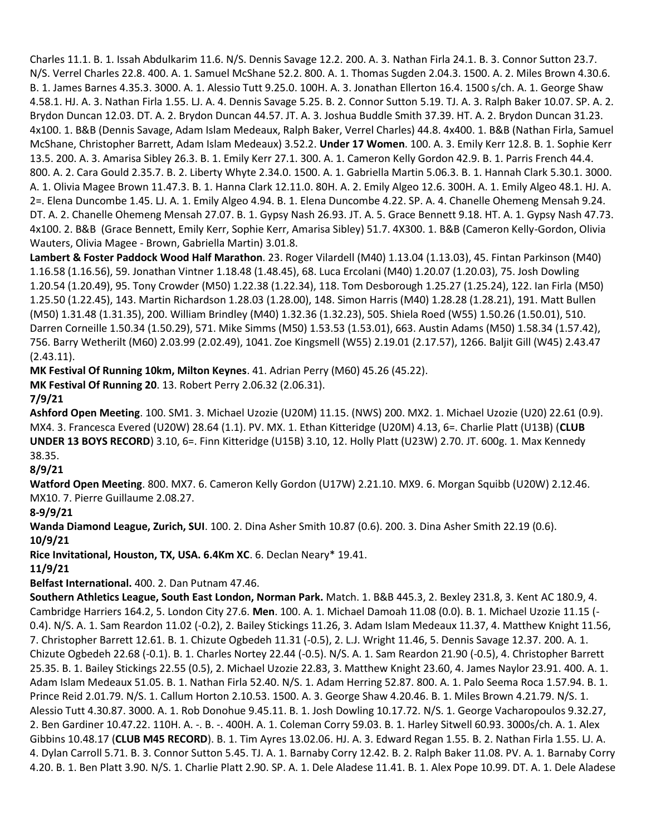Charles 11.1. B. 1. Issah Abdulkarim 11.6. N/S. Dennis Savage 12.2. 200. A. 3. Nathan Firla 24.1. B. 3. Connor Sutton 23.7. N/S. Verrel Charles 22.8. 400. A. 1. Samuel McShane 52.2. 800. A. 1. Thomas Sugden 2.04.3. 1500. A. 2. Miles Brown 4.30.6. B. 1. James Barnes 4.35.3. 3000. A. 1. Alessio Tutt 9.25.0. 100H. A. 3. Jonathan Ellerton 16.4. 1500 s/ch. A. 1. George Shaw 4.58.1. HJ. A. 3. Nathan Firla 1.55. LJ. A. 4. Dennis Savage 5.25. B. 2. Connor Sutton 5.19. TJ. A. 3. Ralph Baker 10.07. SP. A. 2. Brydon Duncan 12.03. DT. A. 2. Brydon Duncan 44.57. JT. A. 3. Joshua Buddle Smith 37.39. HT. A. 2. Brydon Duncan 31.23. 4x100. 1. B&B (Dennis Savage, Adam Islam Medeaux, Ralph Baker, Verrel Charles) 44.8. 4x400. 1. B&B (Nathan Firla, Samuel McShane, Christopher Barrett, Adam Islam Medeaux) 3.52.2. **Under 17 Women**. 100. A. 3. Emily Kerr 12.8. B. 1. Sophie Kerr 13.5. 200. A. 3. Amarisa Sibley 26.3. B. 1. Emily Kerr 27.1. 300. A. 1. Cameron Kelly Gordon 42.9. B. 1. Parris French 44.4. 800. A. 2. Cara Gould 2.35.7. B. 2. Liberty Whyte 2.34.0. 1500. A. 1. Gabriella Martin 5.06.3. B. 1. Hannah Clark 5.30.1. 3000. A. 1. Olivia Magee Brown 11.47.3. B. 1. Hanna Clark 12.11.0. 80H. A. 2. Emily Algeo 12.6. 300H. A. 1. Emily Algeo 48.1. HJ. A. 2=. Elena Duncombe 1.45. LJ. A. 1. Emily Algeo 4.94. B. 1. Elena Duncombe 4.22. SP. A. 4. Chanelle Ohemeng Mensah 9.24. DT. A. 2. Chanelle Ohemeng Mensah 27.07. B. 1. Gypsy Nash 26.93. JT. A. 5. Grace Bennett 9.18. HT. A. 1. Gypsy Nash 47.73. 4x100. 2. B&B (Grace Bennett, Emily Kerr, Sophie Kerr, Amarisa Sibley) 51.7. 4X300. 1. B&B (Cameron Kelly-Gordon, Olivia Wauters, Olivia Magee - Brown, Gabriella Martin) 3.01.8.

**Lambert & Foster Paddock Wood Half Marathon**. 23. Roger Vilardell (M40) 1.13.04 (1.13.03), 45. Fintan Parkinson (M40) 1.16.58 (1.16.56), 59. Jonathan Vintner 1.18.48 (1.48.45), 68. Luca Ercolani (M40) 1.20.07 (1.20.03), 75. Josh Dowling 1.20.54 (1.20.49), 95. Tony Crowder (M50) 1.22.38 (1.22.34), 118. Tom Desborough 1.25.27 (1.25.24), 122. Ian Firla (M50) 1.25.50 (1.22.45), 143. Martin Richardson 1.28.03 (1.28.00), 148. Simon Harris (M40) 1.28.28 (1.28.21), 191. Matt Bullen (M50) 1.31.48 (1.31.35), 200. William Brindley (M40) 1.32.36 (1.32.23), 505. Shiela Roed (W55) 1.50.26 (1.50.01), 510. Darren Corneille 1.50.34 (1.50.29), 571. Mike Simms (M50) 1.53.53 (1.53.01), 663. Austin Adams (M50) 1.58.34 (1.57.42), 756. Barry Wetherilt (M60) 2.03.99 (2.02.49), 1041. Zoe Kingsmell (W55) 2.19.01 (2.17.57), 1266. Baljit Gill (W45) 2.43.47 (2.43.11).

**MK Festival Of Running 10km, Milton Keynes**. 41. Adrian Perry (M60) 45.26 (45.22).

**MK Festival Of Running 20**. 13. Robert Perry 2.06.32 (2.06.31).

## **7/9/21**

**Ashford Open Meeting**. 100. SM1. 3. Michael Uzozie (U20M) 11.15. (NWS) 200. MX2. 1. Michael Uzozie (U20) 22.61 (0.9). MX4. 3. Francesca Evered (U20W) 28.64 (1.1). PV. MX. 1. Ethan Kitteridge (U20M) 4.13, 6=. Charlie Platt (U13B) (**CLUB UNDER 13 BOYS RECORD**) 3.10, 6=. Finn Kitteridge (U15B) 3.10, 12. Holly Platt (U23W) 2.70. JT. 600g. 1. Max Kennedy 38.35.

# **8/9/21**

**Watford Open Meeting**. 800. MX7. 6. Cameron Kelly Gordon (U17W) 2.21.10. MX9. 6. Morgan Squibb (U20W) 2.12.46. MX10. 7. Pierre Guillaume 2.08.27.

**8-9/9/21**

**Wanda Diamond League, Zurich, SUI**. 100. 2. Dina Asher Smith 10.87 (0.6). 200. 3. Dina Asher Smith 22.19 (0.6). **10/9/21**

**Rice Invitational, Houston, TX, USA. 6.4Km XC**. 6. Declan Neary\* 19.41.

**11/9/21**

**Belfast International.** 400. 2. Dan Putnam 47.46.

**Southern Athletics League, South East London, Norman Park.** Match. 1. B&B 445.3, 2. Bexley 231.8, 3. Kent AC 180.9, 4. Cambridge Harriers 164.2, 5. London City 27.6. **Men**. 100. A. 1. Michael Damoah 11.08 (0.0). B. 1. Michael Uzozie 11.15 (- 0.4). N/S. A. 1. Sam Reardon 11.02 (-0.2), 2. Bailey Stickings 11.26, 3. Adam Islam Medeaux 11.37, 4. Matthew Knight 11.56, 7. Christopher Barrett 12.61. B. 1. Chizute Ogbedeh 11.31 (-0.5), 2. L.J. Wright 11.46, 5. Dennis Savage 12.37. 200. A. 1. Chizute Ogbedeh 22.68 (-0.1). B. 1. Charles Nortey 22.44 (-0.5). N/S. A. 1. Sam Reardon 21.90 (-0.5), 4. Christopher Barrett 25.35. B. 1. Bailey Stickings 22.55 (0.5), 2. Michael Uzozie 22.83, 3. Matthew Knight 23.60, 4. James Naylor 23.91. 400. A. 1. Adam Islam Medeaux 51.05. B. 1. Nathan Firla 52.40. N/S. 1. Adam Herring 52.87. 800. A. 1. Palo Seema Roca 1.57.94. B. 1. Prince Reid 2.01.79. N/S. 1. Callum Horton 2.10.53. 1500. A. 3. George Shaw 4.20.46. B. 1. Miles Brown 4.21.79. N/S. 1. Alessio Tutt 4.30.87. 3000. A. 1. Rob Donohue 9.45.11. B. 1. Josh Dowling 10.17.72. N/S. 1. George Vacharopoulos 9.32.27, 2. Ben Gardiner 10.47.22. 110H. A. -. B. -. 400H. A. 1. Coleman Corry 59.03. B. 1. Harley Sitwell 60.93. 3000s/ch. A. 1. Alex Gibbins 10.48.17 (**CLUB M45 RECORD**). B. 1. Tim Ayres 13.02.06. HJ. A. 3. Edward Regan 1.55. B. 2. Nathan Firla 1.55. LJ. A. 4. Dylan Carroll 5.71. B. 3. Connor Sutton 5.45. TJ. A. 1. Barnaby Corry 12.42. B. 2. Ralph Baker 11.08. PV. A. 1. Barnaby Corry 4.20. B. 1. Ben Platt 3.90. N/S. 1. Charlie Platt 2.90. SP. A. 1. Dele Aladese 11.41. B. 1. Alex Pope 10.99. DT. A. 1. Dele Aladese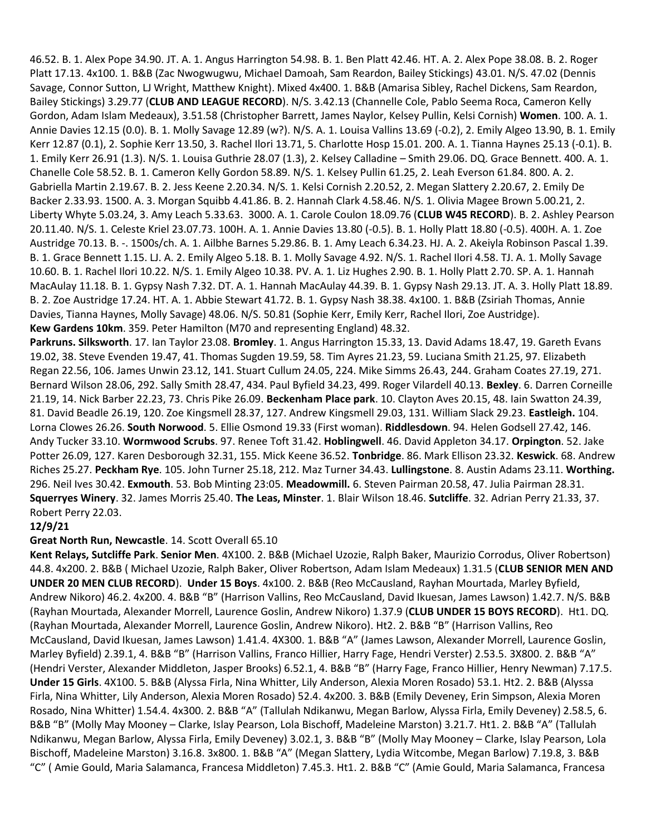46.52. B. 1. Alex Pope 34.90. JT. A. 1. Angus Harrington 54.98. B. 1. Ben Platt 42.46. HT. A. 2. Alex Pope 38.08. B. 2. Roger Platt 17.13. 4x100. 1. B&B (Zac Nwogwugwu, Michael Damoah, Sam Reardon, Bailey Stickings) 43.01. N/S. 47.02 (Dennis Savage, Connor Sutton, LJ Wright, Matthew Knight). Mixed 4x400. 1. B&B (Amarisa Sibley, Rachel Dickens, Sam Reardon, Bailey Stickings) 3.29.77 (**CLUB AND LEAGUE RECORD**). N/S. 3.42.13 (Channelle Cole, Pablo Seema Roca, Cameron Kelly Gordon, Adam Islam Medeaux), 3.51.58 (Christopher Barrett, James Naylor, Kelsey Pullin, Kelsi Cornish) **Women**. 100. A. 1. Annie Davies 12.15 (0.0). B. 1. Molly Savage 12.89 (w?). N/S. A. 1. Louisa Vallins 13.69 (-0.2), 2. Emily Algeo 13.90, B. 1. Emily Kerr 12.87 (0.1), 2. Sophie Kerr 13.50, 3. Rachel Ilori 13.71, 5. Charlotte Hosp 15.01. 200. A. 1. Tianna Haynes 25.13 (-0.1). B. 1. Emily Kerr 26.91 (1.3). N/S. 1. Louisa Guthrie 28.07 (1.3), 2. Kelsey Calladine – Smith 29.06. DQ. Grace Bennett. 400. A. 1. Chanelle Cole 58.52. B. 1. Cameron Kelly Gordon 58.89. N/S. 1. Kelsey Pullin 61.25, 2. Leah Everson 61.84. 800. A. 2. Gabriella Martin 2.19.67. B. 2. Jess Keene 2.20.34. N/S. 1. Kelsi Cornish 2.20.52, 2. Megan Slattery 2.20.67, 2. Emily De Backer 2.33.93. 1500. A. 3. Morgan Squibb 4.41.86. B. 2. Hannah Clark 4.58.46. N/S. 1. Olivia Magee Brown 5.00.21, 2. Liberty Whyte 5.03.24, 3. Amy Leach 5.33.63. 3000. A. 1. Carole Coulon 18.09.76 (**CLUB W45 RECORD**). B. 2. Ashley Pearson 20.11.40. N/S. 1. Celeste Kriel 23.07.73. 100H. A. 1. Annie Davies 13.80 (-0.5). B. 1. Holly Platt 18.80 (-0.5). 400H. A. 1. Zoe Austridge 70.13. B. -. 1500s/ch. A. 1. Ailbhe Barnes 5.29.86. B. 1. Amy Leach 6.34.23. HJ. A. 2. Akeiyla Robinson Pascal 1.39. B. 1. Grace Bennett 1.15. LJ. A. 2. Emily Algeo 5.18. B. 1. Molly Savage 4.92. N/S. 1. Rachel Ilori 4.58. TJ. A. 1. Molly Savage 10.60. B. 1. Rachel Ilori 10.22. N/S. 1. Emily Algeo 10.38. PV. A. 1. Liz Hughes 2.90. B. 1. Holly Platt 2.70. SP. A. 1. Hannah MacAulay 11.18. B. 1. Gypsy Nash 7.32. DT. A. 1. Hannah MacAulay 44.39. B. 1. Gypsy Nash 29.13. JT. A. 3. Holly Platt 18.89. B. 2. Zoe Austridge 17.24. HT. A. 1. Abbie Stewart 41.72. B. 1. Gypsy Nash 38.38. 4x100. 1. B&B (Zsiriah Thomas, Annie Davies, Tianna Haynes, Molly Savage) 48.06. N/S. 50.81 (Sophie Kerr, Emily Kerr, Rachel Ilori, Zoe Austridge). **Kew Gardens 10km**. 359. Peter Hamilton (M70 and representing England) 48.32.

**Parkruns. Silksworth**. 17. Ian Taylor 23.08. **Bromley**. 1. Angus Harrington 15.33, 13. David Adams 18.47, 19. Gareth Evans 19.02, 38. Steve Evenden 19.47, 41. Thomas Sugden 19.59, 58. Tim Ayres 21.23, 59. Luciana Smith 21.25, 97. Elizabeth Regan 22.56, 106. James Unwin 23.12, 141. Stuart Cullum 24.05, 224. Mike Simms 26.43, 244. Graham Coates 27.19, 271. Bernard Wilson 28.06, 292. Sally Smith 28.47, 434. Paul Byfield 34.23, 499. Roger Vilardell 40.13. **Bexley**. 6. Darren Corneille 21.19, 14. Nick Barber 22.23, 73. Chris Pike 26.09. **Beckenham Place park**. 10. Clayton Aves 20.15, 48. Iain Swatton 24.39, 81. David Beadle 26.19, 120. Zoe Kingsmell 28.37, 127. Andrew Kingsmell 29.03, 131. William Slack 29.23. **Eastleigh.** 104. Lorna Clowes 26.26. **South Norwood**. 5. Ellie Osmond 19.33 (First woman). **Riddlesdown**. 94. Helen Godsell 27.42, 146. Andy Tucker 33.10. **Wormwood Scrubs**. 97. Renee Toft 31.42. **Hoblingwell**. 46. David Appleton 34.17. **Orpington**. 52. Jake Potter 26.09, 127. Karen Desborough 32.31, 155. Mick Keene 36.52. **Tonbridge**. 86. Mark Ellison 23.32. **Keswick**. 68. Andrew Riches 25.27. **Peckham Rye**. 105. John Turner 25.18, 212. Maz Turner 34.43. **Lullingstone**. 8. Austin Adams 23.11. **Worthing.** 296. Neil Ives 30.42. **Exmouth**. 53. Bob Minting 23:05. **Meadowmill.** 6. Steven Pairman 20.58, 47. Julia Pairman 28.31. **Squerryes Winery**. 32. James Morris 25.40. **The Leas, Minster**. 1. Blair Wilson 18.46. **Sutcliffe**. 32. Adrian Perry 21.33, 37. Robert Perry 22.03.

#### **12/9/21**

#### **Great North Run, Newcastle**. 14. Scott Overall 65.10

**Kent Relays, Sutcliffe Park**. **Senior Men**. 4X100. 2. B&B (Michael Uzozie, Ralph Baker, Maurizio Corrodus, Oliver Robertson) 44.8. 4x200. 2. B&B ( Michael Uzozie, Ralph Baker, Oliver Robertson, Adam Islam Medeaux) 1.31.5 (**CLUB SENIOR MEN AND UNDER 20 MEN CLUB RECORD**). **Under 15 Boys**. 4x100. 2. B&B (Reo McCausland, Rayhan Mourtada, Marley Byfield, Andrew Nikoro) 46.2. 4x200. 4. B&B "B" (Harrison Vallins, Reo McCausland, David Ikuesan, James Lawson) 1.42.7. N/S. B&B (Rayhan Mourtada, Alexander Morrell, Laurence Goslin, Andrew Nikoro) 1.37.9 (**CLUB UNDER 15 BOYS RECORD**). Ht1. DQ. (Rayhan Mourtada, Alexander Morrell, Laurence Goslin, Andrew Nikoro). Ht2. 2. B&B "B" (Harrison Vallins, Reo McCausland, David Ikuesan, James Lawson) 1.41.4. 4X300. 1. B&B "A" (James Lawson, Alexander Morrell, Laurence Goslin, Marley Byfield) 2.39.1, 4. B&B "B" (Harrison Vallins, Franco Hillier, Harry Fage, Hendri Verster) 2.53.5. 3X800. 2. B&B "A" (Hendri Verster, Alexander Middleton, Jasper Brooks) 6.52.1, 4. B&B "B" (Harry Fage, Franco Hillier, Henry Newman) 7.17.5. **Under 15 Girls**. 4X100. 5. B&B (Alyssa Firla, Nina Whitter, Lily Anderson, Alexia Moren Rosado) 53.1. Ht2. 2. B&B (Alyssa Firla, Nina Whitter, Lily Anderson, Alexia Moren Rosado) 52.4. 4x200. 3. B&B (Emily Deveney, Erin Simpson, Alexia Moren Rosado, Nina Whitter) 1.54.4. 4x300. 2. B&B "A" (Tallulah Ndikanwu, Megan Barlow, Alyssa Firla, Emily Deveney) 2.58.5, 6. B&B "B" (Molly May Mooney – Clarke, Islay Pearson, Lola Bischoff, Madeleine Marston) 3.21.7. Ht1. 2. B&B "A" (Tallulah Ndikanwu, Megan Barlow, Alyssa Firla, Emily Deveney) 3.02.1, 3. B&B "B" (Molly May Mooney – Clarke, Islay Pearson, Lola Bischoff, Madeleine Marston) 3.16.8. 3x800. 1. B&B "A" (Megan Slattery, Lydia Witcombe, Megan Barlow) 7.19.8, 3. B&B "C" ( Amie Gould, Maria Salamanca, Francesa Middleton) 7.45.3. Ht1. 2. B&B "C" (Amie Gould, Maria Salamanca, Francesa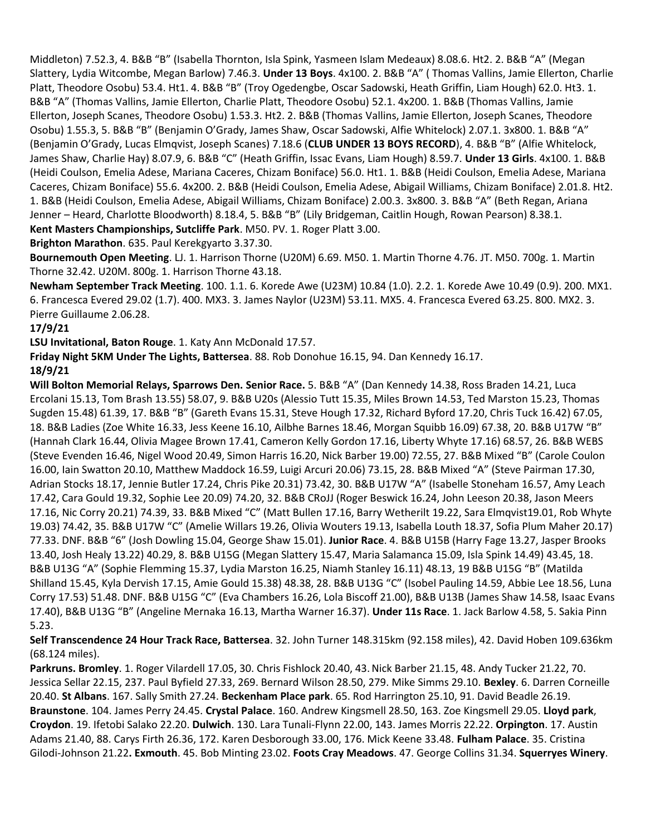Middleton) 7.52.3, 4. B&B "B" (Isabella Thornton, Isla Spink, Yasmeen Islam Medeaux) 8.08.6. Ht2. 2. B&B "A" (Megan Slattery, Lydia Witcombe, Megan Barlow) 7.46.3. **Under 13 Boys**. 4x100. 2. B&B "A" ( Thomas Vallins, Jamie Ellerton, Charlie Platt, Theodore Osobu) 53.4. Ht1. 4. B&B "B" (Troy Ogedengbe, Oscar Sadowski, Heath Griffin, Liam Hough) 62.0. Ht3. 1. B&B "A" (Thomas Vallins, Jamie Ellerton, Charlie Platt, Theodore Osobu) 52.1. 4x200. 1. B&B (Thomas Vallins, Jamie Ellerton, Joseph Scanes, Theodore Osobu) 1.53.3. Ht2. 2. B&B (Thomas Vallins, Jamie Ellerton, Joseph Scanes, Theodore Osobu) 1.55.3, 5. B&B "B" (Benjamin O'Grady, James Shaw, Oscar Sadowski, Alfie Whitelock) 2.07.1. 3x800. 1. B&B "A" (Benjamin O'Grady, Lucas Elmqvist, Joseph Scanes) 7.18.6 (**CLUB UNDER 13 BOYS RECORD**), 4. B&B "B" (Alfie Whitelock, James Shaw, Charlie Hay) 8.07.9, 6. B&B "C" (Heath Griffin, Issac Evans, Liam Hough) 8.59.7. **Under 13 Girls**. 4x100. 1. B&B (Heidi Coulson, Emelia Adese, Mariana Caceres, Chizam Boniface) 56.0. Ht1. 1. B&B (Heidi Coulson, Emelia Adese, Mariana Caceres, Chizam Boniface) 55.6. 4x200. 2. B&B (Heidi Coulson, Emelia Adese, Abigail Williams, Chizam Boniface) 2.01.8. Ht2. 1. B&B (Heidi Coulson, Emelia Adese, Abigail Williams, Chizam Boniface) 2.00.3. 3x800. 3. B&B "A" (Beth Regan, Ariana Jenner – Heard, Charlotte Bloodworth) 8.18.4, 5. B&B "B" (Lily Bridgeman, Caitlin Hough, Rowan Pearson) 8.38.1. **Kent Masters Championships, Sutcliffe Park**. M50. PV. 1. Roger Platt 3.00.

#### **Brighton Marathon**. 635. Paul Kerekgyarto 3.37.30.

**Bournemouth Open Meeting**. LJ. 1. Harrison Thorne (U20M) 6.69. M50. 1. Martin Thorne 4.76. JT. M50. 700g. 1. Martin Thorne 32.42. U20M. 800g. 1. Harrison Thorne 43.18.

**Newham September Track Meeting**. 100. 1.1. 6. Korede Awe (U23M) 10.84 (1.0). 2.2. 1. Korede Awe 10.49 (0.9). 200. MX1. 6. Francesca Evered 29.02 (1.7). 400. MX3. 3. James Naylor (U23M) 53.11. MX5. 4. Francesca Evered 63.25. 800. MX2. 3. Pierre Guillaume 2.06.28.

#### **17/9/21**

**LSU Invitational, Baton Rouge**. 1. Katy Ann McDonald 17.57.

**Friday Night 5KM Under The Lights, Battersea**. 88. Rob Donohue 16.15, 94. Dan Kennedy 16.17.

#### **18/9/21**

**Will Bolton Memorial Relays, Sparrows Den. Senior Race.** 5. B&B "A" (Dan Kennedy 14.38, Ross Braden 14.21, Luca Ercolani 15.13, Tom Brash 13.55) 58.07, 9. B&B U20s (Alessio Tutt 15.35, Miles Brown 14.53, Ted Marston 15.23, Thomas Sugden 15.48) 61.39, 17. B&B "B" (Gareth Evans 15.31, Steve Hough 17.32, Richard Byford 17.20, Chris Tuck 16.42) 67.05, 18. B&B Ladies (Zoe White 16.33, Jess Keene 16.10, Ailbhe Barnes 18.46, Morgan Squibb 16.09) 67.38, 20. B&B U17W "B" (Hannah Clark 16.44, Olivia Magee Brown 17.41, Cameron Kelly Gordon 17.16, Liberty Whyte 17.16) 68.57, 26. B&B WEBS (Steve Evenden 16.46, Nigel Wood 20.49, Simon Harris 16.20, Nick Barber 19.00) 72.55, 27. B&B Mixed "B" (Carole Coulon 16.00, Iain Swatton 20.10, Matthew Maddock 16.59, Luigi Arcuri 20.06) 73.15, 28. B&B Mixed "A" (Steve Pairman 17.30, Adrian Stocks 18.17, Jennie Butler 17.24, Chris Pike 20.31) 73.42, 30. B&B U17W "A" (Isabelle Stoneham 16.57, Amy Leach 17.42, Cara Gould 19.32, Sophie Lee 20.09) 74.20, 32. B&B CRoJJ (Roger Beswick 16.24, John Leeson 20.38, Jason Meers 17.16, Nic Corry 20.21) 74.39, 33. B&B Mixed "C" (Matt Bullen 17.16, Barry Wetherilt 19.22, Sara Elmqvist19.01, Rob Whyte 19.03) 74.42, 35. B&B U17W "C" (Amelie Willars 19.26, Olivia Wouters 19.13, Isabella Louth 18.37, Sofia Plum Maher 20.17) 77.33. DNF. B&B "6" (Josh Dowling 15.04, George Shaw 15.01). **Junior Race**. 4. B&B U15B (Harry Fage 13.27, Jasper Brooks 13.40, Josh Healy 13.22) 40.29, 8. B&B U15G (Megan Slattery 15.47, Maria Salamanca 15.09, Isla Spink 14.49) 43.45, 18. B&B U13G "A" (Sophie Flemming 15.37, Lydia Marston 16.25, Niamh Stanley 16.11) 48.13, 19 B&B U15G "B" (Matilda Shilland 15.45, Kyla Dervish 17.15, Amie Gould 15.38) 48.38, 28. B&B U13G "C" (Isobel Pauling 14.59, Abbie Lee 18.56, Luna Corry 17.53) 51.48. DNF. B&B U15G "C" (Eva Chambers 16.26, Lola Biscoff 21.00), B&B U13B (James Shaw 14.58, Isaac Evans 17.40), B&B U13G "B" (Angeline Mernaka 16.13, Martha Warner 16.37). **Under 11s Race**. 1. Jack Barlow 4.58, 5. Sakia Pinn 5.23.

**Self Transcendence 24 Hour Track Race, Battersea**. 32. John Turner 148.315km (92.158 miles), 42. David Hoben 109.636km (68.124 miles).

**Parkruns. Bromley**. 1. Roger Vilardell 17.05, 30. Chris Fishlock 20.40, 43.Nick Barber 21.15, 48. Andy Tucker 21.22, 70. Jessica Sellar 22.15, 237. Paul Byfield 27.33, 269. Bernard Wilson 28.50, 279. Mike Simms 29.10. **Bexley**. 6. Darren Corneille 20.40. **St Albans**. 167. Sally Smith 27.24. **Beckenham Place park**. 65. Rod Harrington 25.10, 91. David Beadle 26.19. **Braunstone**. 104. James Perry 24.45. **Crystal Palace**. 160. Andrew Kingsmell 28.50, 163. Zoe Kingsmell 29.05. **Lloyd park**, **Croydon**. 19. Ifetobi Salako 22.20. **Dulwich**. 130. Lara Tunali-Flynn 22.00, 143. James Morris 22.22. **Orpington**. 17. Austin Adams 21.40, 88. Carys Firth 26.36, 172. Karen Desborough 33.00, 176. Mick Keene 33.48. **Fulham Palace**. 35. Cristina Gilodi-Johnson 21.22**. Exmouth**. 45. Bob Minting 23.02. **Foots Cray Meadows**. 47. George Collins 31.34. **Squerryes Winery**.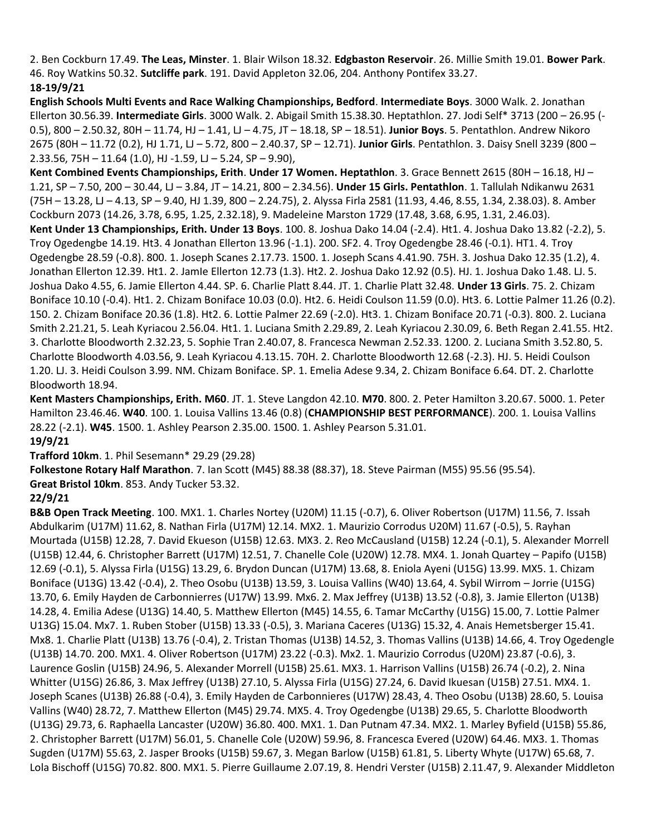2. Ben Cockburn 17.49. **The Leas, Minster**. 1. Blair Wilson 18.32. **Edgbaston Reservoir**. 26. Millie Smith 19.01. **Bower Park**. 46. Roy Watkins 50.32. **Sutcliffe park**. 191. David Appleton 32.06, 204. Anthony Pontifex 33.27. **18-19/9/21**

**English Schools Multi Events and Race Walking Championships, Bedford**. **Intermediate Boys**. 3000 Walk. 2. Jonathan Ellerton 30.56.39. **Intermediate Girls**. 3000 Walk. 2. Abigail Smith 15.38.30. Heptathlon. 27. Jodi Self\* 3713 (200 – 26.95 (- 0.5), 800 – 2.50.32, 80H – 11.74, HJ – 1.41, LJ – 4.75, JT – 18.18, SP – 18.51). **Junior Boys**. 5. Pentathlon. Andrew Nikoro 2675 (80H – 11.72 (0.2), HJ 1.71, LJ – 5.72, 800 – 2.40.37, SP – 12.71). **Junior Girls**. Pentathlon. 3. Daisy Snell 3239 (800 –  $2.33.56$ ,  $75H - 11.64$   $(1.0)$ ,  $HJ - 1.59$ ,  $LJ - 5.24$ ,  $SP - 9.90$ ),

**Kent Combined Events Championships, Erith**. **Under 17 Women. Heptathlon**. 3. Grace Bennett 2615 (80H – 16.18, HJ – 1.21, SP – 7.50, 200 – 30.44, LJ – 3.84, JT – 14.21, 800 – 2.34.56). **Under 15 Girls. Pentathlon**. 1. Tallulah Ndikanwu 2631 (75H – 13.28, LJ – 4.13, SP – 9.40, HJ 1.39, 800 – 2.24.75), 2. Alyssa Firla 2581 (11.93, 4.46, 8.55, 1.34, 2.38.03). 8. Amber Cockburn 2073 (14.26, 3.78, 6.95, 1.25, 2.32.18), 9. Madeleine Marston 1729 (17.48, 3.68, 6.95, 1.31, 2.46.03).

**Kent Under 13 Championships, Erith. Under 13 Boys**. 100. 8. Joshua Dako 14.04 (-2.4). Ht1. 4. Joshua Dako 13.82 (-2.2), 5. Troy Ogedengbe 14.19. Ht3. 4 Jonathan Ellerton 13.96 (-1.1). 200. SF2. 4. Troy Ogedengbe 28.46 (-0.1). HT1. 4. Troy Ogedengbe 28.59 (-0.8). 800. 1. Joseph Scanes 2.17.73. 1500. 1. Joseph Scans 4.41.90. 75H. 3. Joshua Dako 12.35 (1.2), 4. Jonathan Ellerton 12.39. Ht1. 2. JamIe Ellerton 12.73 (1.3). Ht2. 2. Joshua Dako 12.92 (0.5). HJ. 1. Joshua Dako 1.48. LJ. 5. Joshua Dako 4.55, 6. Jamie Ellerton 4.44. SP. 6. Charlie Platt 8.44. JT. 1. Charlie Platt 32.48. **Under 13 Girls**. 75. 2. Chizam Boniface 10.10 (-0.4). Ht1. 2. Chizam Boniface 10.03 (0.0). Ht2. 6. Heidi Coulson 11.59 (0.0). Ht3. 6. Lottie Palmer 11.26 (0.2). 150. 2. Chizam Boniface 20.36 (1.8). Ht2. 6. Lottie Palmer 22.69 (-2.0). Ht3. 1. Chizam Boniface 20.71 (-0.3). 800. 2. Luciana Smith 2.21.21, 5. Leah Kyriacou 2.56.04. Ht1. 1. Luciana Smith 2.29.89, 2. Leah Kyriacou 2.30.09, 6. Beth Regan 2.41.55. Ht2. 3. Charlotte Bloodworth 2.32.23, 5. Sophie Tran 2.40.07, 8. Francesca Newman 2.52.33. 1200. 2. Luciana Smith 3.52.80, 5. Charlotte Bloodworth 4.03.56, 9. Leah Kyriacou 4.13.15. 70H. 2. Charlotte Bloodworth 12.68 (-2.3). HJ. 5. Heidi Coulson 1.20. LJ. 3. Heidi Coulson 3.99. NM. Chizam Boniface. SP. 1. Emelia Adese 9.34, 2. Chizam Boniface 6.64. DT. 2. Charlotte Bloodworth 18.94.

**Kent Masters Championships, Erith. M60**. JT. 1. Steve Langdon 42.10. **M70**. 800. 2. Peter Hamilton 3.20.67. 5000. 1. Peter Hamilton 23.46.46. **W40**. 100. 1. Louisa Vallins 13.46 (0.8) (**CHAMPIONSHIP BEST PERFORMANCE**). 200. 1. Louisa Vallins 28.22 (-2.1). **W45**. 1500. 1. Ashley Pearson 2.35.00. 1500. 1. Ashley Pearson 5.31.01. **19/9/21**

**Trafford 10km**. 1. Phil Sesemann\* 29.29 (29.28)

**Folkestone Rotary Half Marathon**. 7. Ian Scott (M45) 88.38 (88.37), 18. Steve Pairman (M55) 95.56 (95.54).

**Great Bristol 10km**. 853. Andy Tucker 53.32.

# **22/9/21**

**B&B Open Track Meeting**. 100. MX1. 1. Charles Nortey (U20M) 11.15 (-0.7), 6. Oliver Robertson (U17M) 11.56, 7. Issah Abdulkarim (U17M) 11.62, 8. Nathan Firla (U17M) 12.14. MX2. 1. Maurizio Corrodus U20M) 11.67 (-0.5), 5. Rayhan Mourtada (U15B) 12.28, 7. David Ekueson (U15B) 12.63. MX3. 2. Reo McCausland (U15B) 12.24 (-0.1), 5. Alexander Morrell (U15B) 12.44, 6. Christopher Barrett (U17M) 12.51, 7. Chanelle Cole (U20W) 12.78. MX4. 1. Jonah Quartey – Papifo (U15B) 12.69 (-0.1), 5. Alyssa Firla (U15G) 13.29, 6. Brydon Duncan (U17M) 13.68, 8. Eniola Ayeni (U15G) 13.99. MX5. 1. Chizam Boniface (U13G) 13.42 (-0.4), 2. Theo Osobu (U13B) 13.59, 3. Louisa Vallins (W40) 13.64, 4. Sybil Wirrom – Jorrie (U15G) 13.70, 6. Emily Hayden de Carbonnierres (U17W) 13.99. Mx6. 2. Max Jeffrey (U13B) 13.52 (-0.8), 3. Jamie Ellerton (U13B) 14.28, 4. Emilia Adese (U13G) 14.40, 5. Matthew Ellerton (M45) 14.55, 6. Tamar McCarthy (U15G) 15.00, 7. Lottie Palmer U13G) 15.04. Mx7. 1. Ruben Stober (U15B) 13.33 (-0.5), 3. Mariana Caceres (U13G) 15.32, 4. Anais Hemetsberger 15.41. Mx8. 1. Charlie Platt (U13B) 13.76 (-0.4), 2. Tristan Thomas (U13B) 14.52, 3. Thomas Vallins (U13B) 14.66, 4. Troy Ogedengle (U13B) 14.70. 200. MX1. 4. Oliver Robertson (U17M) 23.22 (-0.3). Mx2. 1. Maurizio Corrodus (U20M) 23.87 (-0.6), 3. Laurence Goslin (U15B) 24.96, 5. Alexander Morrell (U15B) 25.61. MX3. 1. Harrison Vallins (U15B) 26.74 (-0.2), 2. Nina Whitter (U15G) 26.86, 3. Max Jeffrey (U13B) 27.10, 5. Alyssa Firla (U15G) 27.24, 6. David Ikuesan (U15B) 27.51. MX4. 1. Joseph Scanes (U13B) 26.88 (-0.4), 3. Emily Hayden de Carbonnieres (U17W) 28.43, 4. Theo Osobu (U13B) 28.60, 5. Louisa Vallins (W40) 28.72, 7. Matthew Ellerton (M45) 29.74. MX5. 4. Troy Ogedengbe (U13B) 29.65, 5. Charlotte Bloodworth (U13G) 29.73, 6. Raphaella Lancaster (U20W) 36.80. 400. MX1. 1. Dan Putnam 47.34. MX2. 1. Marley Byfield (U15B) 55.86, 2. Christopher Barrett (U17M) 56.01, 5. Chanelle Cole (U20W) 59.96, 8. Francesca Evered (U20W) 64.46. MX3. 1. Thomas Sugden (U17M) 55.63, 2. Jasper Brooks (U15B) 59.67, 3. Megan Barlow (U15B) 61.81, 5. Liberty Whyte (U17W) 65.68, 7. Lola Bischoff (U15G) 70.82. 800. MX1. 5. Pierre Guillaume 2.07.19, 8. Hendri Verster (U15B) 2.11.47, 9. Alexander Middleton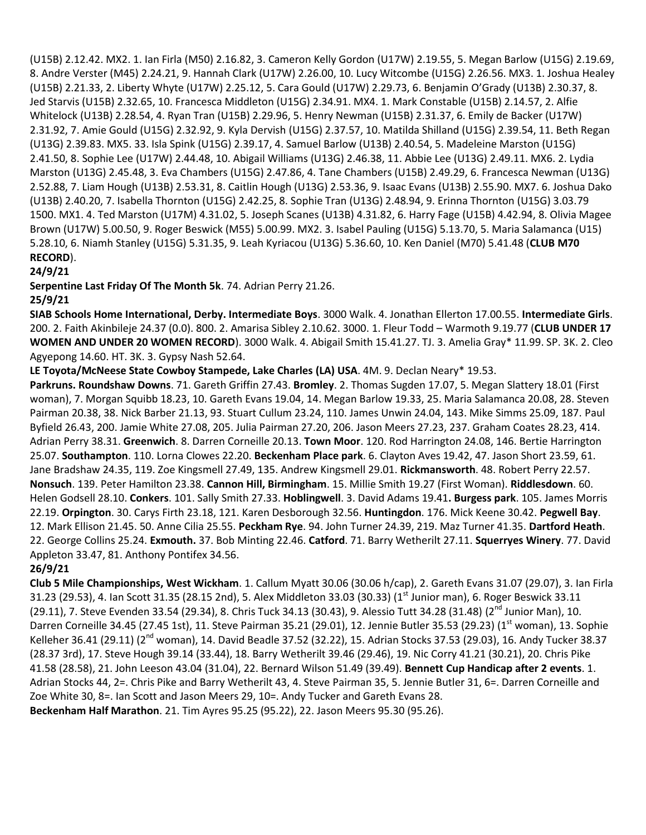(U15B) 2.12.42. MX2. 1. Ian Firla (M50) 2.16.82, 3. Cameron Kelly Gordon (U17W) 2.19.55, 5. Megan Barlow (U15G) 2.19.69, 8. Andre Verster (M45) 2.24.21, 9. Hannah Clark (U17W) 2.26.00, 10. Lucy Witcombe (U15G) 2.26.56. MX3. 1. Joshua Healey (U15B) 2.21.33, 2. Liberty Whyte (U17W) 2.25.12, 5. Cara Gould (U17W) 2.29.73, 6. Benjamin O'Grady (U13B) 2.30.37, 8. Jed Starvis (U15B) 2.32.65, 10. Francesca Middleton (U15G) 2.34.91. MX4. 1. Mark Constable (U15B) 2.14.57, 2. Alfie Whitelock (U13B) 2.28.54, 4. Ryan Tran (U15B) 2.29.96, 5. Henry Newman (U15B) 2.31.37, 6. Emily de Backer (U17W) 2.31.92, 7. Amie Gould (U15G) 2.32.92, 9. Kyla Dervish (U15G) 2.37.57, 10. Matilda Shilland (U15G) 2.39.54, 11. Beth Regan (U13G) 2.39.83. MX5. 33. Isla Spink (U15G) 2.39.17, 4. Samuel Barlow (U13B) 2.40.54, 5. Madeleine Marston (U15G) 2.41.50, 8. Sophie Lee (U17W) 2.44.48, 10. Abigail Williams (U13G) 2.46.38, 11. Abbie Lee (U13G) 2.49.11. MX6. 2. Lydia Marston (U13G) 2.45.48, 3. Eva Chambers (U15G) 2.47.86, 4. Tane Chambers (U15B) 2.49.29, 6. Francesca Newman (U13G) 2.52.88, 7. Liam Hough (U13B) 2.53.31, 8. Caitlin Hough (U13G) 2.53.36, 9. Isaac Evans (U13B) 2.55.90. MX7. 6. Joshua Dako (U13B) 2.40.20, 7. Isabella Thornton (U15G) 2.42.25, 8. Sophie Tran (U13G) 2.48.94, 9. Erinna Thornton (U15G) 3.03.79 1500. MX1. 4. Ted Marston (U17M) 4.31.02, 5. Joseph Scanes (U13B) 4.31.82, 6. Harry Fage (U15B) 4.42.94, 8. Olivia Magee Brown (U17W) 5.00.50, 9. Roger Beswick (M55) 5.00.99. MX2. 3. Isabel Pauling (U15G) 5.13.70, 5. Maria Salamanca (U15) 5.28.10, 6. Niamh Stanley (U15G) 5.31.35, 9. Leah Kyriacou (U13G) 5.36.60, 10. Ken Daniel (M70) 5.41.48 (**CLUB M70 RECORD**).

# **24/9/21**

**Serpentine Last Friday Of The Month 5k**. 74. Adrian Perry 21.26.

#### **25/9/21**

**SIAB Schools Home International, Derby. Intermediate Boys**. 3000 Walk. 4. Jonathan Ellerton 17.00.55. **Intermediate Girls**. 200. 2. Faith Akinbileje 24.37 (0.0). 800. 2. Amarisa Sibley 2.10.62. 3000. 1. Fleur Todd – Warmoth 9.19.77 (**CLUB UNDER 17 WOMEN AND UNDER 20 WOMEN RECORD**). 3000 Walk. 4. Abigail Smith 15.41.27. TJ. 3. Amelia Gray\* 11.99. SP. 3K. 2. Cleo Agyepong 14.60. HT. 3K. 3. Gypsy Nash 52.64.

**LE Toyota/McNeese State Cowboy Stampede, Lake Charles (LA) USA**. 4M. 9. Declan Neary\* 19.53.

**Parkruns. Roundshaw Downs**. 71. Gareth Griffin 27.43. **Bromley**. 2. Thomas Sugden 17.07, 5. Megan Slattery 18.01 (First woman), 7. Morgan Squibb 18.23, 10. Gareth Evans 19.04, 14. Megan Barlow 19.33, 25. Maria Salamanca 20.08, 28. Steven Pairman 20.38, 38. Nick Barber 21.13, 93. Stuart Cullum 23.24, 110. James Unwin 24.04, 143. Mike Simms 25.09, 187. Paul Byfield 26.43, 200. Jamie White 27.08, 205. Julia Pairman 27.20, 206. Jason Meers 27.23, 237. Graham Coates 28.23, 414. Adrian Perry 38.31. **Greenwich**. 8. Darren Corneille 20.13. **Town Moor**. 120. Rod Harrington 24.08, 146. Bertie Harrington 25.07. **Southampton**. 110. Lorna Clowes 22.20. **Beckenham Place park**. 6. Clayton Aves 19.42, 47. Jason Short 23.59, 61. Jane Bradshaw 24.35, 119. Zoe Kingsmell 27.49, 135. Andrew Kingsmell 29.01. **Rickmansworth**. 48. Robert Perry 22.57. **Nonsuch**. 139. Peter Hamilton 23.38. **Cannon Hill, Birmingham**. 15. Millie Smith 19.27 (First Woman). **Riddlesdown**. 60. Helen Godsell 28.10. **Conkers**. 101. Sally Smith 27.33. **Hoblingwell**. 3. David Adams 19.41**. Burgess park**. 105. James Morris 22.19. **Orpington**. 30. Carys Firth 23.18, 121. Karen Desborough 32.56. **Huntingdon**. 176. Mick Keene 30.42. **Pegwell Bay**. 12. Mark Ellison 21.45. 50. Anne Cilia 25.55. **Peckham Rye**. 94. John Turner 24.39, 219. Maz Turner 41.35. **Dartford Heath**. 22. George Collins 25.24. **Exmouth.** 37. Bob Minting 22.46. **Catford**. 71. Barry Wetherilt 27.11. **Squerryes Winery**. 77. David Appleton 33.47, 81. Anthony Pontifex 34.56.

## **26/9/21**

**Club 5 Mile Championships, West Wickham**. 1. Callum Myatt 30.06 (30.06 h/cap), 2. Gareth Evans 31.07 (29.07), 3. Ian Firla 31.23 (29.53), 4. Ian Scott 31.35 (28.15 2nd), 5. Alex Middleton 33.03 (30.33) (1<sup>st</sup> Junior man), 6. Roger Beswick 33.11 (29.11), 7. Steve Evenden 33.54 (29.34), 8. Chris Tuck 34.13 (30.43), 9. Alessio Tutt 34.28 (31.48) (2<sup>nd</sup> Junior Man), 10. Darren Corneille 34.45 (27.45 1st), 11. Steve Pairman 35.21 (29.01), 12. Jennie Butler 35.53 (29.23) (1<sup>st</sup> woman), 13. Sophie Kelleher 36.41 (29.11) (2<sup>nd</sup> woman), 14. David Beadle 37.52 (32.22), 15. Adrian Stocks 37.53 (29.03), 16. Andy Tucker 38.37 (28.37 3rd), 17. Steve Hough 39.14 (33.44), 18. Barry Wetherilt 39.46 (29.46), 19. Nic Corry 41.21 (30.21), 20. Chris Pike 41.58 (28.58), 21. John Leeson 43.04 (31.04), 22. Bernard Wilson 51.49 (39.49). **Bennett Cup Handicap after 2 events**. 1. Adrian Stocks 44, 2=. Chris Pike and Barry Wetherilt 43, 4. Steve Pairman 35, 5. Jennie Butler 31, 6=. Darren Corneille and Zoe White 30, 8=. Ian Scott and Jason Meers 29, 10=. Andy Tucker and Gareth Evans 28.

**Beckenham Half Marathon**. 21. Tim Ayres 95.25 (95.22), 22. Jason Meers 95.30 (95.26).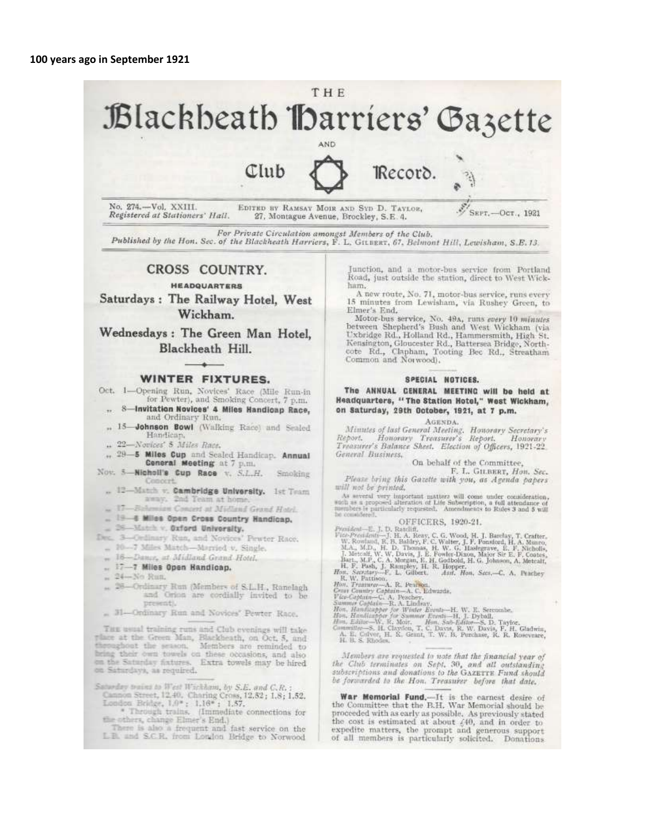

There is also a frequent and fast service on the L.B. and S.C.R. from London Bridge to Norwood expedite matters, the prompt and generous support

of all members is particularly solicited. Donations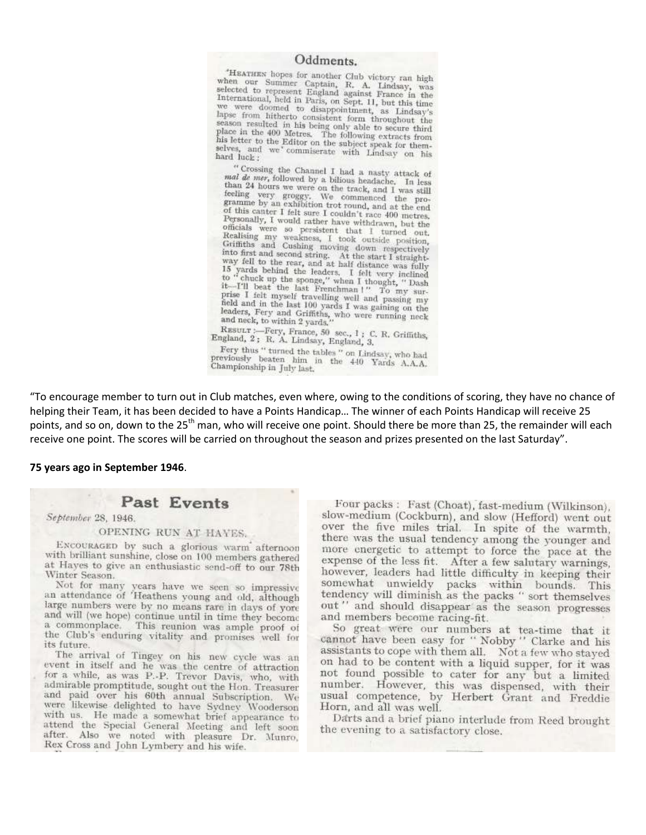#### Oddments.

HEATHEN hopes for another Club victory ran high<br>when our Summer Captain, R. A. Lindsay, was<br>selected to represent England against France in the<br>International, held in Paris, on Sept. 11, but this time<br>we were doomed to dis Now were doomed to disappointment, as Lindsay's<br>season resulted in his being only able to secure third<br>place in the 400 Metres. The following out of place in the 400 Metres. The following extracts from<br>his letter to the Editor on the subject speak for them-<br>selves, and we' commisses to the selves. selves, and we commiserate with Lindsay on his<br>hard luck: hard luck :

"Crossing the Channel I had a nasty attack of  $a^i$  de mer, followed by a bilions bordach. mal de mer, followed by a bilious headache. In less than 24 hours we were on the track, and I was still feeling very groggy. We commenced the pro-<br>gramme by an exhibition trot round, and at the end<br>of this canter I felt sure I couldn't, and at the end of this canter I felt sure I couldn't race 400 metres.<br>Personally I would sell to do along the personally Personally, I would rather have withdrawn, but the Formally, I would rather have withdrawn, but the<br>officials were so persistent that I turned out.<br>Realising my weakness, I took outside position,<br>Griffiths and Cushing moving down respectively<br>into first and second string a into first and second string. At the start I straight-<br>way fell to the rear and at the start I straightmo first and second string. At the start I straight-<br>way fell to the rear, and at half distance was fully<br>15 yards behind the leaders, I felt very inclined<br>to "chuck up the sponge," when I thought, "Dash<br>it—I'll beat the l leaders, Fery and Griffiths, who were running neck<br>and neck, to within 2 yards."<br>Reserves been the starting neck

RESULT:-Fery, France, 50 sec., 1; C. R. Griffiths,<br>England, 2; R. A. Lindsay, England, 3,

Fery thus "turned the tables " on Lindsay, who had previously beaten him in the 440 Yards A.A.A.<br>Championsly beaten him in the 440 Yards A.A.A. Championship in July last.

"To encourage member to turn out in Club matches, even where, owing to the conditions of scoring, they have no chance of helping their Team, it has been decided to have a Points Handicap… The winner of each Points Handicap will receive 25 points, and so on, down to the 25<sup>th</sup> man, who will receive one point. Should there be more than 25, the remainder will each receive one point. The scores will be carried on throughout the season and prizes presented on the last Saturday".

#### **75 years ago in September 1946**.

## Past Events

September 28, 1946.

# OPENING RUN AT HAYES.

ENCOURAGED by such a glorious warm afternoon with brilliant sunshine, close on 100 members gathered at Hayes to give an enthusiastic send-off to our 78th Winter Season.

Not for many years have we seen so impressive<br>an attendance of 'Heathens young and old, although large numbers were by no means rare in days of yore and will (we hope) continue until in time they become a commonplace. This reunion was ample proof of the Club's enduring vitality and promises well for its future.

The arrival of Tingey on his new cycle was an event in itself and he was the centre of attraction for a while, as was P.-P. Trevor Davis, who, with admirable promptitude, sought out the Hon. Treasurer and paid over his 60th annual Subscription. We<br>were likewise delighted to have Sydney Wooderson<br>with us. He made a somewhat brief appearance to<br>with us. He made a somewhat brief appearance to attend the Special General Meeting and left soon after. Also we noted with pleasure Dr. Munro, Rex Cross and John Lymbery and his wife.

Four packs: Fast (Choat), fast-medium (Wilkinson). slow-medium (Cockburn), and slow (Hefford) went out over the five miles trial. In spite of the warmth. there was the usual tendency among the younger and more energetic to attempt to force the pace at the expense of the less fit. After a few salutary warnings, however, leaders had little difficulty in keeping their somewhat unwieldy packs within bounds. This<br>tendency will diminish as the packs " sort themselves out" and should disappear as the season progresses and members become racing-fit.

So great were our numbers at tea-time that it cannot have been easy for "Nobby" Clarke and his assistants to cope with them all. Not a few who stayed on had to be content with a liquid supper, for it was not found possible to cater for any but a limited number. However, this was dispensed, with their usual competence, by Herbert Grant and Freddie Horn, and all was well.

Darts and a brief piano interlude from Reed brought the evening to a satisfactory close.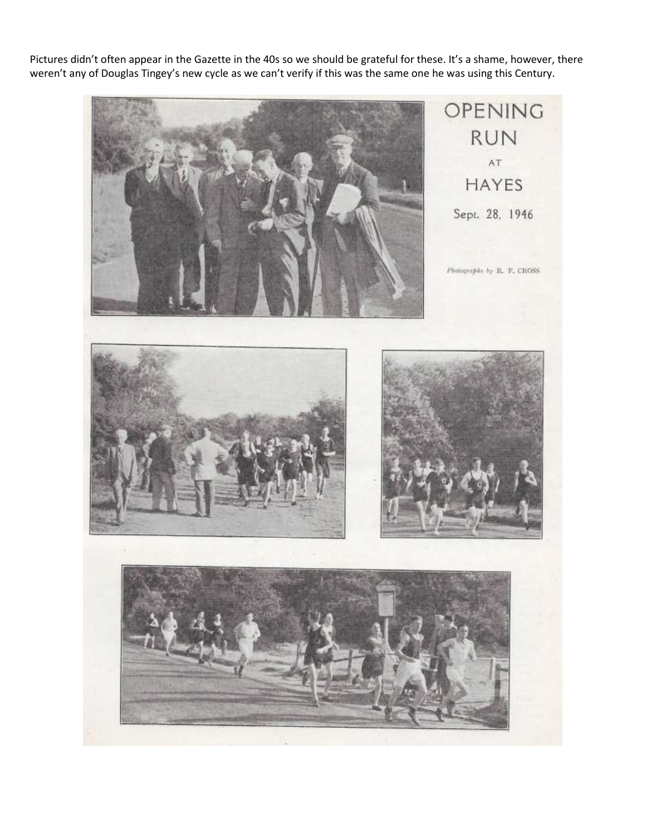Pictures didn't often appear in the Gazette in the 40s so we should be grateful for these. It's a shame, however, there weren't any of Douglas Tingey's new cycle as we can't verify if this was the same one he was using this Century.

![](_page_12_Picture_1.jpeg)

OPENING **RUN** AT **HAYES** Sept. 28, 1946.

Photographs by R. V. CROSS

![](_page_12_Picture_4.jpeg)

![](_page_12_Picture_5.jpeg)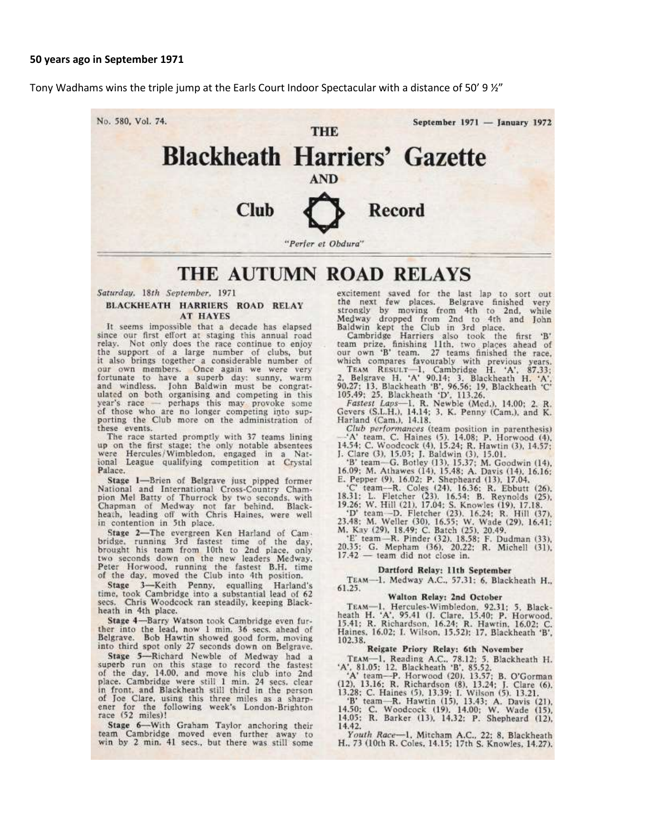#### **50 years ago in September 1971**

Tony Wadhams wins the triple jump at the Earls Court Indoor Spectacular with a distance of 50' 9 ½"

![](_page_13_Picture_2.jpeg)

# **THE AUTUMN ROAD RELAYS**

Saturday, 18th September, 1971

#### BLACKHEATH HARRIERS ROAD RELAY **AT HAYES**

It seems impossible that a decade has elapsed since our first effort at staging this annual road relay. Not only does the race continue to enjoy the support of a large number of clubs, but it also brings together a considerable number of<br>our own members. Once again we were very<br>fortunate to have a superb day: sunny, warm and windless. John Baldwin must be congratulated on both organising and competing in this year's race -- perhaps this may provoke some of those who are no longer competing into supporting the Club more on the administration of these events.

The race started promptly with 37 teams lining up on the first stage; the only notable absentees<br>were Hercules/Wimbledon, engaged in a Nat-<br>ional League qualifying competition at Crystal Palace.

Stage 1-Brien of Belgrave just pipped former National and International Cross-Country Champion Mel Batty of Thurrock by two seconds, with Chapman of Medway not far behind. Black-<br>heath, leading off with Chris Haines, were well in contention in 5th place.

Stage 2-The evergreen Ken Harland of Cambridge, running 3rd fastest time of the day,<br>brought his team from 10th to 2nd place, only two seconds down on the new leaders Medway.<br>Peter Horwood, running the fastest B.H. time

of the day, moved the Club into 4th position.<br>Stage 3—Keith Penny, equalling Harland's<br>time, took Cambridge into a substantial lead of 62<br>secs. Chris Woodcock ran steadily, keeping Blackheath in 4th place.

Stage 4-Barry Watson took Cambridge even fur-Stage 4—Barry Watson took Cambridge even fur-<br>ther into the lead, now 1 min. 36 secs. ahead of<br>Belgrave. Bob Hawtin showed good form, moving<br>into third spot only 27 seconds down on Belgrave.<br>Stage 5—Richard Newble.

Stage 5-Richard Newble of Medway had a superb run on this stage to record the fastest<br>of the day, 14.00, and move his club into 2nd<br>place. Cambridge were still 1 min. 24 secs. clear place. cannot be seen T and The the person in front, and Blackheath still third in the person<br>of Joe Clare, using this three miles as a sharp-<br>ener for the following week's London-Brighton<br>race (52 miles)!

Stage 6—With Graham Taylor anchoring their<br>team Cambridge moved even further away to<br>win by 2 min. 41 secs., but there was still some

excitement saved for the last lap to sort out<br>the next few places. Belgrave finished very<br>strongly by moving from 4th to 2nd, while

Medway dropped from 2nd to 4th and John<br>Baldwin kept the Club in 3rd place.<br>Cambridge Harriers also took the first 'B'<br>team prize, finishing 11th, two places ahead of<br>our own 'B' team. 27 teams finished the race,

which compares favourably with previous years.<br>
TEAM RESULT-1. Cambridge H. 'A', 87.33;<br>
2. Belgrave H. 'A' 90.14; 3. Blackheath H. 'A',<br>
90.27; 13. Blackheath 'B', 96.56; 19. Blackheath 'C'<br>
105.49; 25. Blackheath 'D', 11

Fastest Laps-1. R. Newble (Med.), 14.00; 2. R.<br>Gevers (S.L.H.), 14.14; 3. K. Penny (Cam.), and K. Harland (Cam.), 14.18.

Harland (Cam.), 14.18.<br>
Club performances (team position in parenthesis)<br>
-'A' team, C. Haines (5). 14.08; P. Horwood (4),<br>
14.54; C. Woodcock (4), 15.24; R. Hawin (3), 14.57;<br>
1. Clare (3), 15.03; J. Baldwin (3), 15.01.<br>

17.42 - team did not close in.

#### Dartford Relay: 11th September

TEAM-1. Medway A.C., 57.31: 6. Blackheath H., 61.25.

#### Walton Relay: 2nd October

TEAM-1. Hercules-Wimbledon, 92.31; 5, Black-<br>heath H. 'A', 95.41 (J. Clare, 15.40; P. Horwood, 15.41; R. Richardson, 16.24; R. Hawtin, 16.02; C.<br>Haines. 16.02; I. Wilson, 15.52); 17, Blackheath 'B', 102.38.

#### Reigate Priory Relay: 6th November

TEAM-1. Reading A.C., 78.12: 5. Blackheath H.<br>'A', 81.05: 12. Blackheath 'B', 85.52.<br>'A' team--P. Horwood (20). 13.57: B. O'Gorman<br>(12), 13.16: R. Richardson (8), 13.24: J. Clare (6).<br>13.28: C. Haines (5), 13.39: L. Wilson

'B' team-R. Hawtin (15), 13.43; A. Davis (21), 14.50; C. Woodcock (19), 14.00; W. Wade (15), 14.05; R. Barker (13), 14.32; P. Shepheard (12), 14.42.

Youth Race-1, Mitcham A.C., 22; 8, Blackheath H., 73 (10th R. Coles, 14.15; 17th S. Knowles, 14.27).